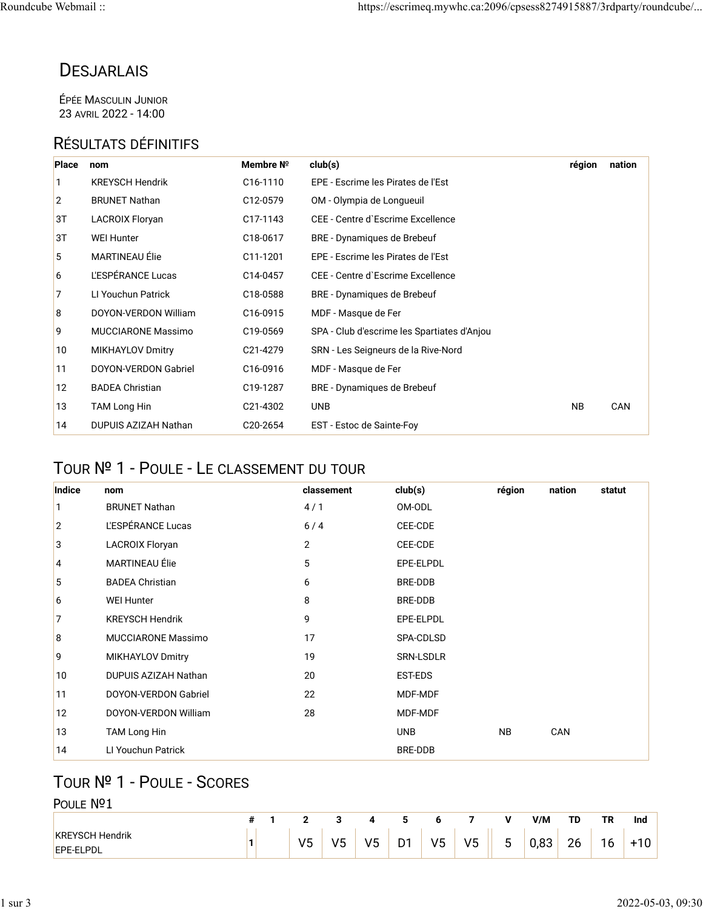## **DESJARLAIS**

ÉPÉE MASCULIN JUNIOR 23 AVRIL 2022 - 14:00

### RÉSULTATS DÉFINITIFS

| Place | nom                       | Membre Nº             | club(s)                                     | région    | nation |
|-------|---------------------------|-----------------------|---------------------------------------------|-----------|--------|
| 1     | <b>KREYSCH Hendrik</b>    | C <sub>16</sub> -1110 | EPE - Escrime les Pirates de l'Est          |           |        |
| 2     | <b>BRUNET Nathan</b>      | C <sub>12</sub> -0579 | OM - Olympia de Longueuil                   |           |        |
| ЗT    | LACROIX Floryan           | C17-1143              | CEE - Centre d'Escrime Excellence           |           |        |
| ЗT    | <b>WEI Hunter</b>         | C18-0617              | BRE - Dynamiques de Brebeuf                 |           |        |
| 5     | <b>MARTINEAU Élie</b>     | C <sub>11</sub> -1201 | EPE - Escrime les Pirates de l'Est          |           |        |
| 6     | L'ESPÉRANCE Lucas         | C14-0457              | CEE - Centre d'Escrime Excellence           |           |        |
| 7     | LI Youchun Patrick        | C18-0588              | BRE - Dynamiques de Brebeuf                 |           |        |
| 8     | DOYON-VERDON William      | C16-0915              | MDF - Masque de Fer                         |           |        |
| 9     | <b>MUCCIARONE Massimo</b> | C19-0569              | SPA - Club d'escrime les Spartiates d'Anjou |           |        |
| 10    | <b>MIKHAYLOV Dmitry</b>   | C21-4279              | SRN - Les Seigneurs de la Rive-Nord         |           |        |
| 11    | DOYON-VERDON Gabriel      | C16-0916              | MDF - Masque de Fer                         |           |        |
| 12    | <b>BADEA Christian</b>    | C19-1287              | BRE - Dynamiques de Brebeuf                 |           |        |
| 13    | <b>TAM Long Hin</b>       | C21-4302              | <b>UNB</b>                                  | <b>NB</b> | CAN    |
| 14    | DUPUIS AZIZAH Nathan      | C20-2654              | EST - Estoc de Sainte-Foy                   |           |        |

## TOUR № 1 - POULE - LE CLASSEMENT DU TOUR

| Indice         | nom                         | classement     | club(s)        | région    | nation | statut |
|----------------|-----------------------------|----------------|----------------|-----------|--------|--------|
| 1              | <b>BRUNET Nathan</b>        | 4/1            | OM-ODL         |           |        |        |
| $\overline{2}$ | L'ESPÉRANCE Lucas           | 6/4            | CEE-CDE        |           |        |        |
| 3              | <b>LACROIX Floryan</b>      | $\overline{2}$ | CEE-CDE        |           |        |        |
| $\overline{4}$ | MARTINEAU Élie              | 5              | EPE-ELPDL      |           |        |        |
| 5              | <b>BADEA Christian</b>      | 6              | BRE-DDB        |           |        |        |
| 6              | <b>WEI Hunter</b>           | 8              | <b>BRE-DDB</b> |           |        |        |
| 7              | <b>KREYSCH Hendrik</b>      | 9              | EPE-ELPDL      |           |        |        |
| 8              | <b>MUCCIARONE Massimo</b>   | 17             | SPA-CDLSD      |           |        |        |
| 9              | <b>MIKHAYLOV Dmitry</b>     | 19             | SRN-LSDLR      |           |        |        |
| 10             | DUPUIS AZIZAH Nathan        | 20             | EST-EDS        |           |        |        |
| 11             | <b>DOYON-VERDON Gabriel</b> | 22             | MDF-MDF        |           |        |        |
| 12             | DOYON-VERDON William        | 28             | MDF-MDF        |           |        |        |
| 13             | <b>TAM Long Hin</b>         |                | <b>UNB</b>     | <b>NB</b> | CAN    |        |
| 14             | LI Youchun Patrick          |                | BRE-DDB        |           |        |        |

#### TOUR № 1 - POULE - SCORES  $\overline{P}$

| PQIII F<br>N <sub>o</sub> 1                |   |                |         |          |                     |    |                |   |      |    |    |       |
|--------------------------------------------|---|----------------|---------|----------|---------------------|----|----------------|---|------|----|----|-------|
|                                            | # |                | ◡       | 4        |                     | ь  |                | v | V/M  | TD | ΤR | Ind   |
| <b>KREYSCH Hendrik</b><br><b>EPE-ELPDL</b> | 1 | V <sub>5</sub> | いに<br>J | いに<br>ັບ | D <sub>1</sub><br>້ | V5 | V <sub>5</sub> | 5 | 0,83 | 26 | 16 | $+10$ |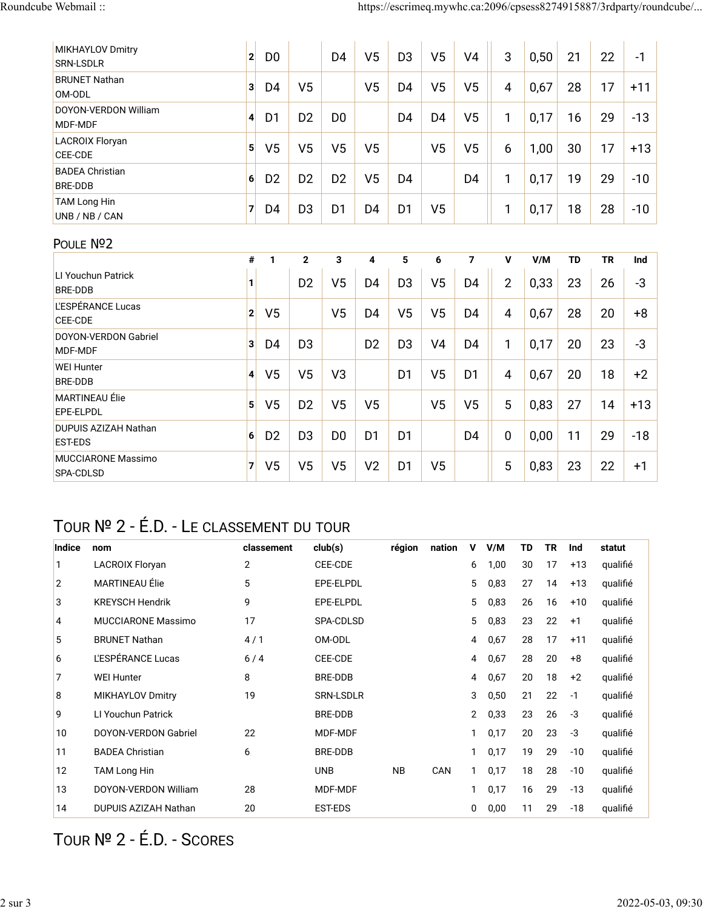| MIKHAYLOV Dmitry<br>SRN-LSDLR            | $\mathbf{2}$   | D <sub>0</sub> |                | D <sub>4</sub> | V <sub>5</sub>          | D <sub>3</sub> | V <sub>5</sub> | V <sub>4</sub> | 3              | 0,50 | 21        | 22        | $-1$  |
|------------------------------------------|----------------|----------------|----------------|----------------|-------------------------|----------------|----------------|----------------|----------------|------|-----------|-----------|-------|
| <b>BRUNET Nathan</b><br>OM-ODL           | $\mathbf{3}$   | D <sub>4</sub> | V <sub>5</sub> |                | V <sub>5</sub>          | D <sub>4</sub> | V <sub>5</sub> | V <sub>5</sub> | $\overline{4}$ | 0,67 | 28        | 17        | $+11$ |
| DOYON-VERDON William<br>MDF-MDF          | $\overline{4}$ | D <sub>1</sub> | D <sub>2</sub> | D <sub>0</sub> |                         | D <sub>4</sub> | D <sub>4</sub> | V <sub>5</sub> | 1              | 0,17 | 16        | 29        | $-13$ |
| <b>LACROIX Floryan</b><br>CEE-CDE        | 5 <sup>1</sup> | V <sub>5</sub> | V <sub>5</sub> | V <sub>5</sub> | V <sub>5</sub>          |                | V <sub>5</sub> | V <sub>5</sub> | 6              | 1,00 | 30        | 17        | $+13$ |
| <b>BADEA Christian</b><br><b>BRE-DDB</b> | $6 \mid$       | D <sub>2</sub> | D <sub>2</sub> | D <sub>2</sub> | V <sub>5</sub>          | D <sub>4</sub> |                | D <sub>4</sub> | 1              | 0,17 | 19        | 29        | $-10$ |
| <b>TAM Long Hin</b><br>UNB / NB / CAN    | $\overline{7}$ | D <sub>4</sub> | D <sub>3</sub> | D <sub>1</sub> | D <sub>4</sub>          | D <sub>1</sub> | V <sub>5</sub> |                | 1              | 0,17 | 18        | 28        | $-10$ |
| POULE Nº2                                |                |                |                |                |                         |                |                |                |                |      |           |           |       |
|                                          | #              | 1              | $\mathbf{2}$   | $\mathbf{3}$   | $\overline{\mathbf{4}}$ | 5              | 6              | $\overline{7}$ | $\mathbf v$    | V/M  | <b>TD</b> | <b>TR</b> | Ind   |
| LI Youchun Patrick<br><b>BRE-DDB</b>     | 1              |                | D <sub>2</sub> | V <sub>5</sub> | D <sub>4</sub>          | D <sub>3</sub> | V <sub>5</sub> | D <sub>4</sub> | $\overline{2}$ | 0,33 | 23        | 26        | $-3$  |
| L'ESPÉRANCE Lucas<br><b>CEE-CDE</b>      | 2 <sup>1</sup> | V <sub>5</sub> |                | V <sub>5</sub> | D <sub>4</sub>          | V <sub>5</sub> | V <sub>5</sub> | D <sub>4</sub> | $\overline{4}$ | 0,67 | 28        | 20        | $+8$  |
| <b>DOYON-VERDON Gabriel</b><br>MDF-MDF   | 3 <sup>1</sup> | D <sub>4</sub> | D <sub>3</sub> |                | D <sub>2</sub>          | D <sub>3</sub> | V <sub>4</sub> | D <sub>4</sub> | 1              | 0,17 | 20        | 23        | $-3$  |
| <b>WEI Hunter</b><br><b>BRE-DDB</b>      | $\vert$        | V <sub>5</sub> | V <sub>5</sub> | V <sub>3</sub> |                         | D <sub>1</sub> | V <sub>5</sub> | D <sub>1</sub> | $\overline{4}$ | 0,67 | 20        | 18        | $+2$  |
| <b>MARTINEAU Élie</b><br>EPE-ELPDL       | 5              | V <sub>5</sub> | D <sub>2</sub> | V <sub>5</sub> | V <sub>5</sub>          |                | V <sub>5</sub> | V <sub>5</sub> | 5              | 0,83 | 27        | 14        | $+13$ |
| DUPUIS AZIZAH Nathan<br><b>EST-EDS</b>   | 6 <sup>1</sup> | D <sub>2</sub> | D <sub>3</sub> | D <sub>0</sub> | D <sub>1</sub>          | D <sub>1</sub> |                | D <sub>4</sub> | $\mathbf 0$    | 0,00 | 11        | 29        | $-18$ |
| <b>MUCCIARONE Massimo</b><br>SPA-CDLSD   | 71             | V <sub>5</sub> | V <sub>5</sub> | V <sub>5</sub> | V <sub>2</sub>          | D <sub>1</sub> | V <sub>5</sub> |                | 5              | 0,83 | 23        | 22        | $+1$  |

# TOUR № 2 - É.D. - LE CLASSEMENT DU TOUR

| Indice          | nom                         | classement | club(s)          | région    | nation | V              | V/M  | TD | TR | Ind   | statut   |
|-----------------|-----------------------------|------------|------------------|-----------|--------|----------------|------|----|----|-------|----------|
| $\mathbf{1}$    | <b>LACROIX Floryan</b>      | 2          | CEE-CDE          |           |        | 6              | 1,00 | 30 | 17 | $+13$ | qualifié |
| 2               | MARTINEAU Élie              | 5          | EPE-ELPDL        |           |        | 5              | 0,83 | 27 | 14 | $+13$ | qualifié |
| 3               | <b>KREYSCH Hendrik</b>      | 9          | EPE-ELPDL        |           |        | 5              | 0,83 | 26 | 16 | $+10$ | qualifié |
| $\vert 4 \vert$ | <b>MUCCIARONE Massimo</b>   | 17         | SPA-CDLSD        |           |        | 5              | 0,83 | 23 | 22 | $+1$  | qualifié |
| 5               | <b>BRUNET Nathan</b>        | 4/1        | OM-ODL           |           |        | 4              | 0,67 | 28 | 17 | $+11$ | qualifié |
| 6               | L'ESPÉRANCE Lucas           | 6/4        | CEE-CDE          |           |        | 4              | 0,67 | 28 | 20 | $+8$  | qualifié |
| $\overline{7}$  | <b>WEI Hunter</b>           | 8          | <b>BRE-DDB</b>   |           |        | 4              | 0,67 | 20 | 18 | $+2$  | qualifié |
| 8               | <b>MIKHAYLOV Dmitry</b>     | 19         | <b>SRN-LSDLR</b> |           |        | 3              | 0,50 | 21 | 22 | $-1$  | qualifié |
| 9               | LI Youchun Patrick          |            | <b>BRE-DDB</b>   |           |        | $\overline{2}$ | 0,33 | 23 | 26 | -3    | qualifié |
| 10              | <b>DOYON-VERDON Gabriel</b> | 22         | MDF-MDF          |           |        | 1              | 0,17 | 20 | 23 | -3    | qualifié |
| 11              | <b>BADEA Christian</b>      | 6          | <b>BRE-DDB</b>   |           |        | 1              | 0,17 | 19 | 29 | $-10$ | qualifié |
| 12              | <b>TAM Long Hin</b>         |            | <b>UNB</b>       | <b>NB</b> | CAN    | 1              | 0,17 | 18 | 28 | $-10$ | qualifié |
| 13              | DOYON-VERDON William        | 28         | MDF-MDF          |           |        | 1              | 0,17 | 16 | 29 | $-13$ | qualifié |
| 14              | DUPUIS AZIZAH Nathan        | 20         | EST-EDS          |           |        | 0              | 0,00 | 11 | 29 | $-18$ | qualifié |

## TOUR № 2 - É.D. - SCORES